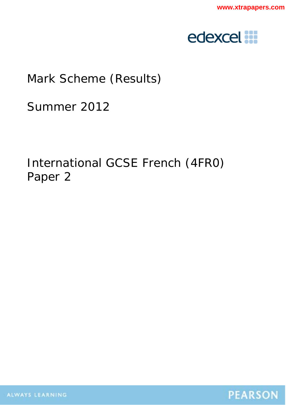

## Mark Scheme (Results)

Summer 2012

# International GCSE French (4FR0) Paper 2

ALWAYS LEARNING

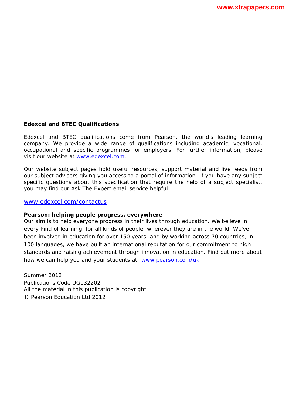#### **Edexcel and BTEC Qualifications**

Edexcel and BTEC qualifications come from Pearson, the world's leading learning company. We provide a wide range of qualifications including academic, vocational, occupational and specific programmes for employers. For further information, please visit our website at www.edexcel.com.

Our website subject pages hold useful resources, support material and live feeds from our subject advisors giving you access to a portal of information. If you have any subject specific questions about this specification that require the help of a subject specialist, you may find our Ask The Expert email service helpful.

www.edexcel.com/contactus

#### **Pearson: helping people progress, everywhere**

Our aim is to help everyone progress in their lives through education. We believe in every kind of learning, for all kinds of people, wherever they are in the world. We've been involved in education for over 150 years, and by working across 70 countries, in 100 languages, we have built an international reputation for our commitment to high standards and raising achievement through innovation in education. Find out more about how we can help you and your students at: www.pearson.com/uk

Summer 2012 Publications Code UG032202 All the material in this publication is copyright © Pearson Education Ltd 2012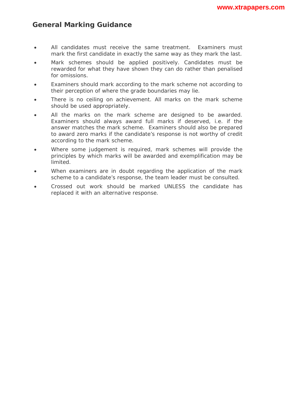### **General Marking Guidance**

- All candidates must receive the same treatment. Examiners must mark the first candidate in exactly the same way as they mark the last.
- Mark schemes should be applied positively. Candidates must be rewarded for what they have shown they can do rather than penalised for omissions.
- Examiners should mark according to the mark scheme not according to their perception of where the grade boundaries may lie.
- There is no ceiling on achievement. All marks on the mark scheme should be used appropriately.
- All the marks on the mark scheme are designed to be awarded. Examiners should always award full marks if deserved, i.e. if the answer matches the mark scheme. Examiners should also be prepared to award zero marks if the candidate's response is not worthy of credit according to the mark scheme.
- Where some judgement is required, mark schemes will provide the principles by which marks will be awarded and exemplification may be limited.
- When examiners are in doubt regarding the application of the mark scheme to a candidate's response, the team leader must be consulted.
- Crossed out work should be marked UNLESS the candidate has replaced it with an alternative response.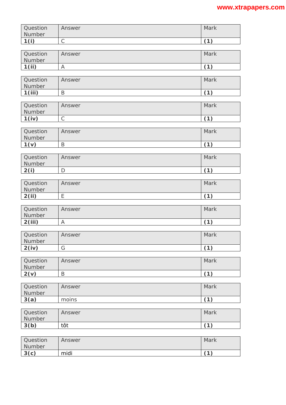| Question<br>Number | Answer       | Mark |
|--------------------|--------------|------|
| 1(i)               | $\mathsf{C}$ | (1)  |
| Question<br>Number | Answer       | Mark |
| 1(ii)              | A            | (1)  |
| Question<br>Number | Answer       | Mark |
| 1(iii)             | B            | (1)  |
|                    |              |      |
| Question<br>Number | Answer       | Mark |
| 1(iv)              | $\mathsf{C}$ | (1)  |
| Question<br>Number | Answer       | Mark |
| 1(v)               | B            | (1)  |
| Question<br>Number | Answer       | Mark |
| 2(i)               | D            | (1)  |
|                    |              |      |
| Question<br>Number | Answer       | Mark |
| 2(ii)              | E            | (1)  |
| Question<br>Number | Answer       | Mark |
| 2(iii)             | A            | (1)  |
| Question<br>Number | Answer       | Mark |
| 2(iv)              | G            | (1)  |
| Question<br>Number | Answer       | Mark |
| 2(v)               | B            | (1)  |
| Question<br>Number | Answer       | Mark |
| 3(a)               | moins        | (1)  |
|                    |              |      |
| Question<br>Number | Answer       | Mark |
| 3(b)               | tôt          | (1)  |
|                    |              |      |
| Question<br>Number | Answer       | Mark |
| 3(c)               | midi         | (1)  |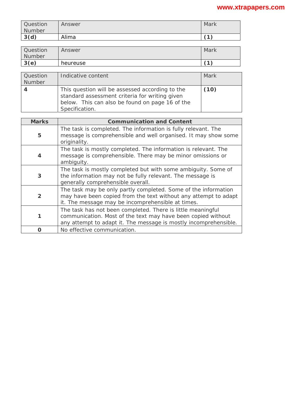| Question<br>Number | Answer | Mark       |
|--------------------|--------|------------|
| 3(d)               | Alima  | $\sqrt{4}$ |

| Question<br>Number | Answer   | Mark       |
|--------------------|----------|------------|
| 3(e)               | heureuse | $\sqrt{4}$ |

| Question<br>Number | Indicative content                                                                                                                                                     | Mark |
|--------------------|------------------------------------------------------------------------------------------------------------------------------------------------------------------------|------|
|                    | This question will be assessed according to the<br>standard assessment criteria for writing given<br>below. This can also be found on page 16 of the<br>Specification. | (10) |

| <b>Marks</b>   | <b>Communication and Content</b>                                                                                                                                                                |
|----------------|-------------------------------------------------------------------------------------------------------------------------------------------------------------------------------------------------|
| 5              | The task is completed. The information is fully relevant. The<br>message is comprehensible and well organised. It may show some<br>originality.                                                 |
| 4              | The task is mostly completed. The information is relevant. The<br>message is comprehensible. There may be minor omissions or<br>ambiguity.                                                      |
| 3              | The task is mostly completed but with some ambiguity. Some of<br>the information may not be fully relevant. The message is<br>generally comprehensible overall.                                 |
| $\overline{2}$ | The task may be only partly completed. Some of the information<br>may have been copied from the text without any attempt to adapt<br>it. The message may be incomprehensible at times.          |
| 1              | The task has not been completed. There is little meaningful<br>communication. Most of the text may have been copied without<br>any attempt to adapt it. The message is mostly incomprehensible. |
| O              | No effective communication.                                                                                                                                                                     |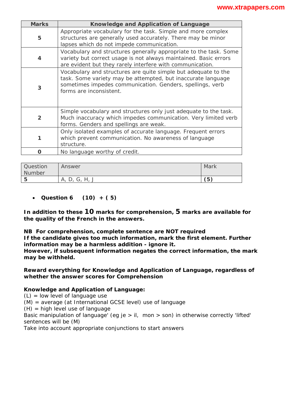| <b>Marks</b>            | Knowledge and Application of Language                                                                                                                                                                                  |  |  |
|-------------------------|------------------------------------------------------------------------------------------------------------------------------------------------------------------------------------------------------------------------|--|--|
| 5                       | Appropriate vocabulary for the task. Simple and more complex<br>structures are generally used accurately. There may be minor<br>lapses which do not impede communication.                                              |  |  |
| $\overline{\mathbf{4}}$ | Vocabulary and structures generally appropriate to the task. Some<br>variety but correct usage is not always maintained. Basic errors<br>are evident but they rarely interfere with communication.                     |  |  |
| 3                       | Vocabulary and structures are quite simple but adequate to the<br>task. Some variety may be attempted, but inaccurate language<br>sometimes impedes communication. Genders, spellings, verb<br>forms are inconsistent. |  |  |
| $\overline{2}$          | Simple vocabulary and structures only just adequate to the task.<br>Much inaccuracy which impedes communication. Very limited verb<br>forms. Genders and spellings are weak.                                           |  |  |
| 1                       | Only isolated examples of accurate language. Frequent errors<br>which prevent communication. No awareness of language<br>structure.                                                                                    |  |  |
| O                       | No language worthy of credit.                                                                                                                                                                                          |  |  |

| <b>Question</b><br>Number | Answer             | Mark |
|---------------------------|--------------------|------|
| l 5                       | G, H, J<br>А.<br>◡ | (5)  |

#### • **Question 6 (10) + ( 5)**

**In addition to these 10 marks for comprehension, 5 marks are available for the quality of the French in the answers.** 

**NB For comprehension, complete sentence are NOT required** 

**If the candidate gives** *too much* **information, mark the first** *element***. Further information may be a** *harmless addition -* **ignore it.** 

**However, if subsequent information** *negates* **the correct information, the mark may be withheld.** 

#### **Reward** *everything* **for Knowledge and Application of Language, regardless of whether the answer scores for Comprehension**

#### **Knowledge and Application of Language:**

 $(L)$  = low level of language use

(M) = average (at International GCSE level) use of language

 $(H)$  = high level use of language

Basic manipulation of language' (eg *je > il, mon > son*) in otherwise correctly 'lifted' sentences will be (M)

Take into account appropriate conjunctions to start answers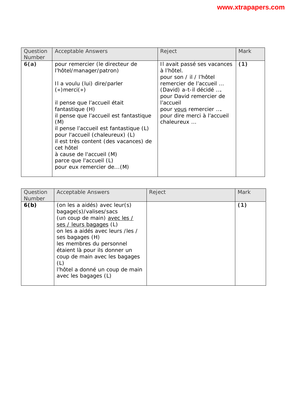| Question<br><b>Number</b> | <b>Acceptable Answers</b>                                                                                                                                                                                                                                                                                                                                                                                                                 | Reject                                                                                                                                                                                                                              | <b>Mark</b> |
|---------------------------|-------------------------------------------------------------------------------------------------------------------------------------------------------------------------------------------------------------------------------------------------------------------------------------------------------------------------------------------------------------------------------------------------------------------------------------------|-------------------------------------------------------------------------------------------------------------------------------------------------------------------------------------------------------------------------------------|-------------|
| 6(a)                      | pour remercier (le directeur de<br>l'hôtel/manager/patron)<br>Il a voulu (lui) dire/parler<br>$(*)$ merci $(*)$<br>il pense que l'accueil était<br>fantastique (H)<br>il pense que l'accueil est fantastique<br>(M)<br>il pense l'accueil est fantastique (L)<br>pour l'accueil (chaleureux) (L)<br>il est très content (des vacances) de<br>cet hôtel<br>à cause de l'accueil (M)<br>parce que l'accueil (L)<br>pour eux remercier de(M) | Il avait passé ses vacances<br>à l'hôtel.<br>pour son / il / l'hôtel<br>remercier de l'accueil<br>(David) a-t-il décidé<br>pour David remercier de<br>l'accueil<br>pour vous remercier<br>pour dire merci à l'accueil<br>chaleureux | (1)         |

| Question<br>Number | <b>Acceptable Answers</b>                                                                                                                                                                                                                                                                                                                 | Reject | Mark |
|--------------------|-------------------------------------------------------------------------------------------------------------------------------------------------------------------------------------------------------------------------------------------------------------------------------------------------------------------------------------------|--------|------|
| 6(b)               | (on les a aidés) avec leur(s)<br>bagage(s)/valises/sacs<br>(un coup de main) avec les /<br>ses / leurs bagages (L)<br>on les a aidés avec leurs /les /<br>ses bagages (H)<br>les membres du personnel<br>étaient là pour ils donner un<br>coup de main avec les bagages<br>(L)<br>l'hôtel a donné un coup de main<br>avec les bagages (L) |        | (1)  |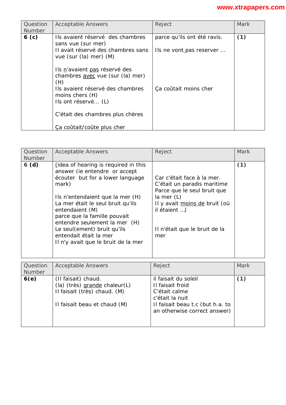| Question<br><b>Number</b> | <b>Acceptable Answers</b>                                                                                                                                                                  | Reject                                                  | Mark |
|---------------------------|--------------------------------------------------------------------------------------------------------------------------------------------------------------------------------------------|---------------------------------------------------------|------|
| 6 <sub>(c)</sub>          | Ils avaient réservé des chambres<br>sans vue (sur mer)<br>Il avait réservé des chambres sans<br>vue (sur (la) mer) (M)                                                                     | parce qu'ils ont été ravis.<br>Ils ne vont pas reserver | (1)  |
|                           | Ils n'avaient pas réservé des<br>chambres avec vue (sur (la) mer)<br>(H)<br>Ils avaient réservé des chambres<br>moins chers (H)<br>Ils ont réservé (L)<br>C'était des chambres plus chères | Ça coûtait moins cher                                   |      |
|                           | Ça coûtait/coûte plus cher                                                                                                                                                                 |                                                         |      |

| Question<br><b>Number</b> | <b>Acceptable Answers</b>                                                                                                                                                                                                                                                                                                                                                              | Reject                                                                                                                                                                                            | Mark        |
|---------------------------|----------------------------------------------------------------------------------------------------------------------------------------------------------------------------------------------------------------------------------------------------------------------------------------------------------------------------------------------------------------------------------------|---------------------------------------------------------------------------------------------------------------------------------------------------------------------------------------------------|-------------|
| 6(d)                      | (idea of <i>hearing</i> is required in this<br>answer (ie entendre or accept<br>écouter but for a lower language<br>mark)<br>Ils n'entendaient que la mer (H)<br>La mer était le seul bruit qu'ils<br>entendaient (M)<br>parce que la famille pouvait<br>entendre seulement la mer (H)<br>Le seul(ement) bruit qu'ils<br>entendait était la mer<br>Il n'y avait que le bruit de la mer | Car c'était face à la mer.<br>C'était un paradis maritime<br>Parce que le seul bruit que<br>la mer $(L)$<br>Il y avait moins de bruit (où<br>il étaient )<br>Il n'était que le bruit de la<br>mer | (1)         |
| Question                  | <b>Acceptable Answers</b>                                                                                                                                                                                                                                                                                                                                                              | Reject                                                                                                                                                                                            | <b>Mark</b> |
| <b>Number</b>             |                                                                                                                                                                                                                                                                                                                                                                                        |                                                                                                                                                                                                   |             |
| 6(e)                      | (II faisait) chaud.<br>(la) (très) grande chaleur(L)<br>Il faisait (très) chaud. (M)<br>Il faisait beau et chaud (M)                                                                                                                                                                                                                                                                   | il faisait du soleil<br>II faisait froid<br>C'était calme<br>c'était la nuit<br>Il faisait beau t.c (but h.a. to<br>an otherwise correct answer)                                                  | (1)         |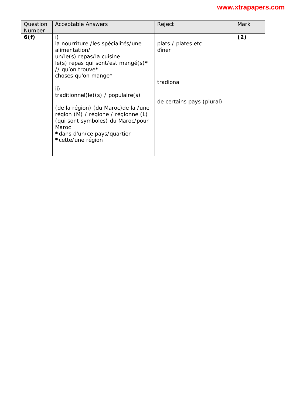| Question | <b>Acceptable Answers</b>                                                                                                                                                                                                                                                                                                                                                                                | Reject                                                                | Mark |
|----------|----------------------------------------------------------------------------------------------------------------------------------------------------------------------------------------------------------------------------------------------------------------------------------------------------------------------------------------------------------------------------------------------------------|-----------------------------------------------------------------------|------|
| Number   |                                                                                                                                                                                                                                                                                                                                                                                                          |                                                                       |      |
| 6(f)     | i)<br>la nourriture /les spécialités/une<br>alimentation/<br>un/le(s) repas/la cuisine<br>$le(s)$ repas qui sont/est mangé(s)*<br>// qu'on trouve*<br>choses qu'on mange*<br>ii)<br>traditionnel(le)(s) / populaire(s)<br>(de la région) (du Maroc) de la /une<br>région (M) / régione / régionne (L)<br>(qui sont symboles) du Maroc/pour<br>Maroc.<br>*dans d'un/ce pays/quartier<br>*cette/une région | plats / plates etc<br>dîner<br>tradional<br>de certains pays (plural) | (2)  |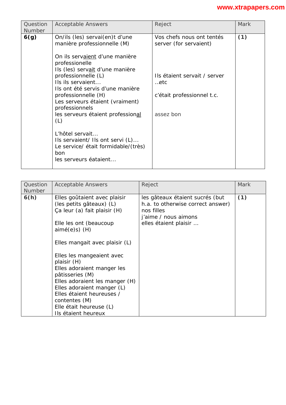| Question<br>Number | <b>Acceptable Answers</b>                                                                                                                                                                                                                                                                                                                                                                                                                                                                  | Reject                                                                                                                                        | <b>Mark</b> |
|--------------------|--------------------------------------------------------------------------------------------------------------------------------------------------------------------------------------------------------------------------------------------------------------------------------------------------------------------------------------------------------------------------------------------------------------------------------------------------------------------------------------------|-----------------------------------------------------------------------------------------------------------------------------------------------|-------------|
| 6(g)               | On/ils (les) servai(en)t d'une<br>manière professionnelle (M)<br>On ils servaient d'une manière<br>professionelle<br>Ils (les) servait d'une manière<br>professionnelle (L)<br>Ils ils servaient<br>Ils ont été servis d'une manière<br>professionnelle (H)<br>Les serveurs étaient (vraiment)<br>professionnels<br>les serveurs étaient professional<br>(L)<br>L'hôtel servait<br>Ils servaient/ Ils ont servi (L)<br>Le service/ était formidable/(très)<br>bon<br>les serveurs éataient | Vos chefs nous ont tentés<br>server (for <i>servaient</i> )<br>Ils étaient servait / server<br>etc<br>c'était professionnel t.c.<br>assez bon | (1)         |

| Question<br><b>Number</b> | <b>Acceptable Answers</b>                                                                                                                                                                                                                                                                                                                                                                                                            | Reject                                                                                                                              | <b>Mark</b> |
|---------------------------|--------------------------------------------------------------------------------------------------------------------------------------------------------------------------------------------------------------------------------------------------------------------------------------------------------------------------------------------------------------------------------------------------------------------------------------|-------------------------------------------------------------------------------------------------------------------------------------|-------------|
| 6(h)                      | Elles goûtaient avec plaisir<br>(les petits gâteaux) (L)<br>Ça leur (a) fait plaisir (H)<br>Elle les ont (beaucoup<br>$aimé(e)s)$ (H)<br>Elles mangait avec plaisir (L)<br>Elles les mangeaient avec<br>plaisir (H)<br>Elles adoraient manger les<br>pâtisseries (M)<br>Elles adoraient les manger (H)<br>Elles adoraient manger (L)<br>Elles étaient heureuses /<br>contentes (M)<br>Elle était heureuse (L)<br>Ils étaient heureux | les gâteaux étaient sucrés (but<br>h.a. to otherwise correct answer)<br>nos filles<br>j'aime / nous aimons<br>elles étaient plaisir | (1)         |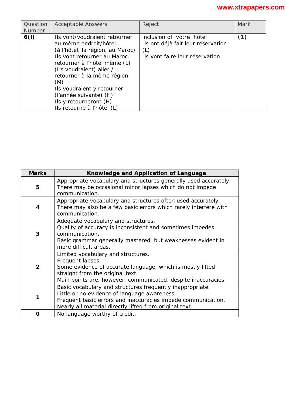| Question<br>Number | <b>Acceptable Answers</b>                                                                                                                                                                                                                                                                                                                    | Reject                                                                                                   | Mark |
|--------------------|----------------------------------------------------------------------------------------------------------------------------------------------------------------------------------------------------------------------------------------------------------------------------------------------------------------------------------------------|----------------------------------------------------------------------------------------------------------|------|
| 6(i)               | Ils vont/voudraient retourner<br>au même endroit/hôtel.<br>(à l'hôtel, la région, au Maroc)<br>Ils vont retourner au Maroc.<br>retourner à l'hôtel même (L)<br>(Ils voudraient) aller /<br>retourner à la même région<br>(M)<br>Ils voudraient y retourner<br>(l'année suivante) (H)<br>IIs y retourneront (H)<br>Ils retourne à l'hôtel (L) | inclusion of votre hôtel<br>Ils ont déjà fait leur réservation<br>(L)<br>Ils vont faire leur réservation | (1)  |

| <b>Marks</b> | Knowledge and Application of Language                                                                                                                                                                                                |
|--------------|--------------------------------------------------------------------------------------------------------------------------------------------------------------------------------------------------------------------------------------|
| 5            | Appropriate vocabulary and structures generally used accurately.<br>There may be occasional minor lapses which do not impede<br>communication.                                                                                       |
| 4            | Appropriate vocabulary and structures often used accurately.<br>There may also be a few basic errors which rarely interfere with<br>communication.                                                                                   |
| 3            | Adequate vocabulary and structures.<br>Quality of accuracy is inconsistent and sometimes impedes<br>communication.<br>Basic grammar generally mastered, but weaknesses evident in<br>more difficult areas.                           |
| $\mathbf{2}$ | Limited vocabulary and structures.<br>Frequent lapses.<br>Some evidence of accurate language, which is mostly lifted<br>straight from the original text.<br>Main points are, however, communicated, despite inaccuracies.            |
| 1            | Basic vocabulary and structures frequently inappropriate.<br>Little or no evidence of language awareness.<br>Frequent basic errors and inaccuracies impede communication.<br>Nearly all material directly lifted from original text. |
| ი            | No language worthy of credit.                                                                                                                                                                                                        |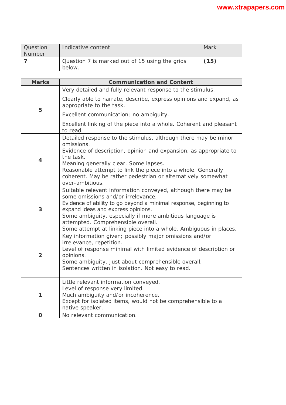| Question | Indicative content                                       | Mark |
|----------|----------------------------------------------------------|------|
| Number   |                                                          |      |
|          | Question 7 is marked out of 15 using the grids<br>below. | (15) |

| <b>Marks</b>   | <b>Communication and Content</b>                                                                                                                                                                                                                                                                                                                                                     |  |
|----------------|--------------------------------------------------------------------------------------------------------------------------------------------------------------------------------------------------------------------------------------------------------------------------------------------------------------------------------------------------------------------------------------|--|
|                | Very detailed and fully relevant response to the stimulus.                                                                                                                                                                                                                                                                                                                           |  |
| 5              | Clearly able to narrate, describe, express opinions and expand, as<br>appropriate to the task.                                                                                                                                                                                                                                                                                       |  |
|                | Excellent communication; no ambiguity.                                                                                                                                                                                                                                                                                                                                               |  |
|                | Excellent linking of the piece into a whole. Coherent and pleasant<br>to read.                                                                                                                                                                                                                                                                                                       |  |
| $\overline{4}$ | Detailed response to the stimulus, although there may be minor<br>omissions.<br>Evidence of description, opinion and expansion, as appropriate to<br>the task.<br>Meaning generally clear. Some lapses.<br>Reasonable attempt to link the piece into a whole. Generally<br>coherent. May be rather pedestrian or alternatively somewhat<br>over-ambitious.                           |  |
| 3              | Suitable relevant information conveyed, although there may be<br>some omissions and/or irrelevance.<br>Evidence of ability to go beyond a minimal response, beginning to<br>expand ideas and express opinions.<br>Some ambiguity, especially if more ambitious language is<br>attempted. Comprehensible overall.<br>Some attempt at linking piece into a whole. Ambiguous in places. |  |
| $\overline{2}$ | Key information given; possibly major omissions and/or<br>irrelevance, repetition.<br>Level of response minimal with limited evidence of description or<br>opinions.<br>Some ambiguity. Just about comprehensible overall.<br>Sentences written in isolation. Not easy to read.                                                                                                      |  |
| 1              | Little relevant information conveyed.<br>Level of response very limited.<br>Much ambiguity and/or incoherence.<br>Except for isolated items, would not be comprehensible to a<br>native speaker.                                                                                                                                                                                     |  |
| $\mathbf O$    | No relevant communication.                                                                                                                                                                                                                                                                                                                                                           |  |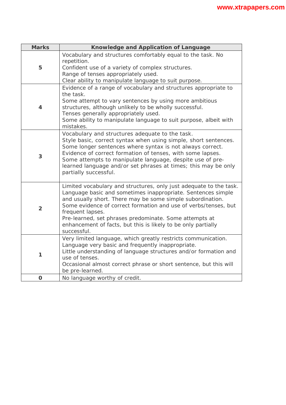| <b>Marks</b>   | Knowledge and Application of Language                                                                                                                                                                                                                                                                                                                                                                                             |  |
|----------------|-----------------------------------------------------------------------------------------------------------------------------------------------------------------------------------------------------------------------------------------------------------------------------------------------------------------------------------------------------------------------------------------------------------------------------------|--|
| 5              | Vocabulary and structures comfortably equal to the task. No<br>repetition.<br>Confident use of a variety of complex structures.<br>Range of tenses appropriately used.<br>Clear ability to manipulate language to suit purpose.                                                                                                                                                                                                   |  |
| $\overline{4}$ | Evidence of a range of vocabulary and structures appropriate to<br>the task.<br>Some attempt to vary sentences by using more ambitious<br>structures, although unlikely to be wholly successful.<br>Tenses generally appropriately used.<br>Some ability to manipulate language to suit purpose, albeit with<br>mistakes.                                                                                                         |  |
| 3              | Vocabulary and structures adequate to the task.<br>Style basic, correct syntax when using simple, short sentences.<br>Some longer sentences where syntax is not always correct.<br>Evidence of correct formation of tenses, with some lapses.<br>Some attempts to manipulate language, despite use of pre-<br>learned language and/or set phrases at times; this may be only<br>partially successful.                             |  |
| $\overline{2}$ | Limited vocabulary and structures, only just adequate to the task.<br>Language basic and sometimes inappropriate. Sentences simple<br>and usually short. There may be some simple subordination.<br>Some evidence of correct formation and use of verbs/tenses, but<br>frequent lapses.<br>Pre-learned, set phrases predominate. Some attempts at<br>enhancement of facts, but this is likely to be only partially<br>successful. |  |
| 1              | Very limited language, which greatly restricts communication.<br>Language very basic and frequently inappropriate.<br>Little understanding of language structures and/or formation and<br>use of tenses.<br>Occasional almost correct phrase or short sentence, but this will<br>be pre-learned.                                                                                                                                  |  |
| $\mathbf O$    | No language worthy of credit.                                                                                                                                                                                                                                                                                                                                                                                                     |  |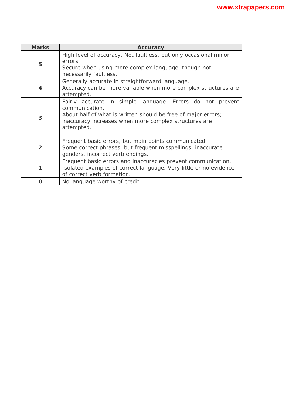| <b>Marks</b>     | <b>Accuracy</b>                                                                                                                                                                                                     |  |
|------------------|---------------------------------------------------------------------------------------------------------------------------------------------------------------------------------------------------------------------|--|
| 5                | High level of accuracy. Not faultless, but only occasional minor<br>errors.<br>Secure when using more complex language, though not<br>necessarily faultless.                                                        |  |
| $\boldsymbol{4}$ | Generally accurate in straightforward language.<br>Accuracy can be more variable when more complex structures are<br>attempted.                                                                                     |  |
| 3                | Fairly accurate in simple language. Errors do not prevent<br>communication.<br>About half of what is written should be free of major errors;<br>inaccuracy increases when more complex structures are<br>attempted. |  |
| $\overline{2}$   | Frequent basic errors, but main points communicated.<br>Some correct phrases, but frequent misspellings, inaccurate<br>genders, incorrect verb endings.                                                             |  |
| 1                | Frequent basic errors and inaccuracies prevent communication.<br>Isolated examples of correct language. Very little or no evidence<br>of correct verb formation.                                                    |  |
| O                | No language worthy of credit.                                                                                                                                                                                       |  |